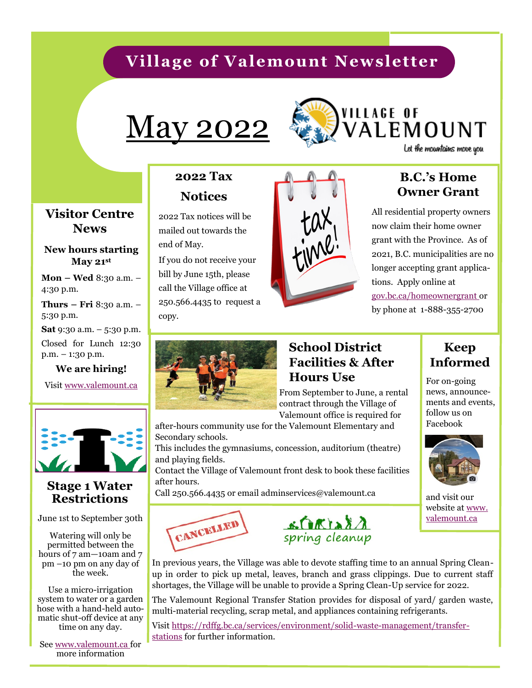# **Village of Valemount Newsletter**

# May 2022



# **VILLAGE OF** ALEMOUNT

Let the mountains move you

#### **Visitor Centre News**

#### **New hours starting May 21st**

**Mon – Wed** 8:30 a.m. – 4:30 p.m.

**Thurs – Fri** 8:30 a.m. – 5:30 p.m.

**Sat** 9:30 a.m. – 5:30 p.m.

Closed for Lunch 12:30 p.m. – 1:30 p.m.

**We are hiring!**

Visit www.valemount.ca



#### **Stage 1 Water Restrictions**

June 1st to September 30th

Watering will only be permitted between the hours of 7 am-10am and 7 pm –10 pm on any day of the week.

Use a micro-irrigation system to water or a garden hose with a hand-held automatic shut-off device at any time on any day.

See www.valemount.ca for more information

## **2022 Tax Notices**

2022 Tax notices will be mailed out towards the end of May.

If you do not receive your bill by June 15th, please call the Village office at 250.566.4435 to request a copy.



## **B.C.'s Home Owner Grant**

All residential property owners now claim their home owner grant with the Province. As of 2021, B.C. municipalities are no longer accepting grant applications. Apply online at gov.bc.ca/homeownergrant or by phone at 1-888-355-2700



## **School District Facilities & After Hours Use** For on-going

From September to June, a rental contract through the Village of Valemount office is required for

after-hours community use for the Valemount Elementary and Secondary schools.

This includes the gymnasiums, concession, auditorium (theatre) and playing fields.

Contact the Village of Valemount front desk to book these facilities after hours.

Call 250.566.4435 or email adminservices@valemount.ca





## **Keep Informed**

news, announcements and events, follow us on Facebook



and visit our website at www. valemount.ca

In previous years, the Village was able to devote staffing time to an annual Spring Cleanup in order to pick up metal, leaves, branch and grass clippings. Due to current staff shortages, the Village will be unable to provide a Spring Clean-Up service for 2022.

The Valemount Regional Transfer Station provides for disposal of yard/ garden waste, multi-material recycling, scrap metal, and appliances containing refrigerants.

Visit [https://rdffg.bc.ca/services/environment/solid](https://rdffg.bc.ca/services/environment/solid-waste-management/transfer-stations)-waste-management/transfer[stations](https://rdffg.bc.ca/services/environment/solid-waste-management/transfer-stations) for further information.